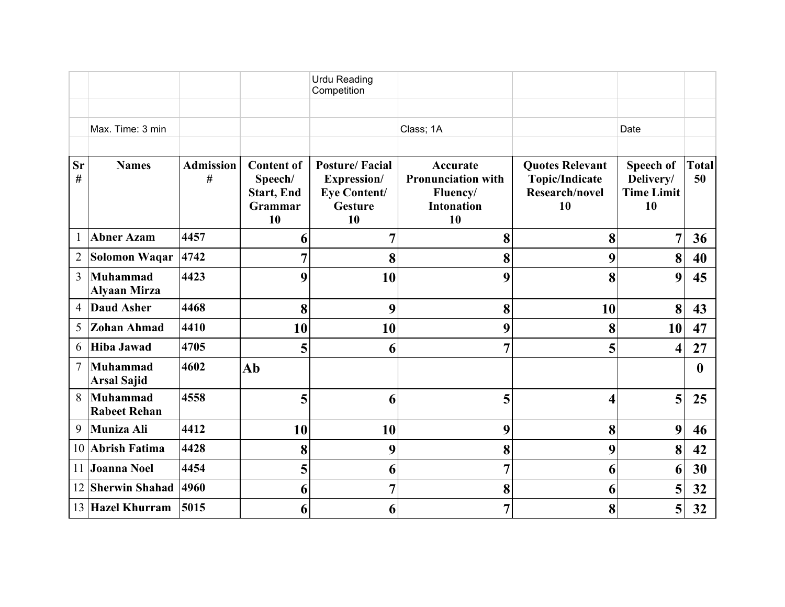|                   |                                        |                       |                                                                    | <b>Urdu Reading</b><br>Competition                                                         |                                                                              |                                                                                |                                                   |                    |
|-------------------|----------------------------------------|-----------------------|--------------------------------------------------------------------|--------------------------------------------------------------------------------------------|------------------------------------------------------------------------------|--------------------------------------------------------------------------------|---------------------------------------------------|--------------------|
|                   | Max. Time: 3 min                       |                       |                                                                    |                                                                                            | Class; 1A                                                                    |                                                                                | Date                                              |                    |
| <b>Sr</b><br>$\#$ | <b>Names</b>                           | <b>Admission</b><br># | <b>Content of</b><br>Speech/<br><b>Start, End</b><br>Grammar<br>10 | <b>Posture/Facial</b><br><b>Expression/</b><br><b>Eye Content/</b><br><b>Gesture</b><br>10 | Accurate<br><b>Pronunciation with</b><br>Fluency/<br><b>Intonation</b><br>10 | <b>Quotes Relevant</b><br><b>Topic/Indicate</b><br><b>Research/novel</b><br>10 | Speech of<br>Delivery/<br><b>Time Limit</b><br>10 | <b>Total</b><br>50 |
| $\mathbf{1}$      | <b>Abner Azam</b>                      | 4457                  | 6                                                                  | 7                                                                                          | 8                                                                            | 8                                                                              | $\overline{7}$                                    | 36                 |
| $\overline{2}$    | Solomon Waqar                          | 4742                  |                                                                    | 8                                                                                          | 8                                                                            | 9                                                                              | 8                                                 | 40                 |
| $\overline{3}$    | <b>Muhammad</b><br><b>Alyaan Mirza</b> | 4423                  | 9                                                                  | 10                                                                                         | 9                                                                            | 8                                                                              | 9                                                 | 45                 |
| 4                 | <b>Daud Asher</b>                      | 4468                  | 8                                                                  | 9                                                                                          | 8                                                                            | 10                                                                             | 8                                                 | 43                 |
| 5                 | <b>Zohan Ahmad</b>                     | 4410                  | 10                                                                 | 10                                                                                         | 9                                                                            | 8                                                                              | 10                                                | 47                 |
| 6                 | <b>Hiba Jawad</b>                      | 4705                  | 5                                                                  | 6                                                                                          | $\overline{7}$                                                               | 5                                                                              | $\overline{\mathbf{4}}$                           | 27                 |
| $\tau$            | <b>Muhammad</b><br><b>Arsal Sajid</b>  | 4602                  | Ab                                                                 |                                                                                            |                                                                              |                                                                                |                                                   | $\mathbf{0}$       |
| 8                 | Muhammad<br><b>Rabeet Rehan</b>        | 4558                  | 5                                                                  | 6                                                                                          | 5                                                                            | Δ                                                                              | 5                                                 | 25                 |
| 9                 | Muniza Ali                             | 4412                  | 10                                                                 | 10                                                                                         | 9                                                                            | 8                                                                              | 9                                                 | 46                 |
| 10                | <b>Abrish Fatima</b>                   | 4428                  | 8                                                                  | 9                                                                                          | 8                                                                            | 9                                                                              | 8                                                 | 42                 |
| 11                | <b>Joanna Noel</b>                     | 4454                  | 5                                                                  | 6                                                                                          | $\overline{7}$                                                               | 6                                                                              | 6                                                 | 30                 |
| 12                | <b>Sherwin Shahad</b>                  | 4960                  | 6                                                                  | 7                                                                                          | 8                                                                            | 6                                                                              | 5                                                 | 32                 |
|                   | 13 Hazel Khurram                       | 5015                  | 6                                                                  | 6                                                                                          | $\overline{7}$                                                               | 8                                                                              | 5                                                 | 32                 |